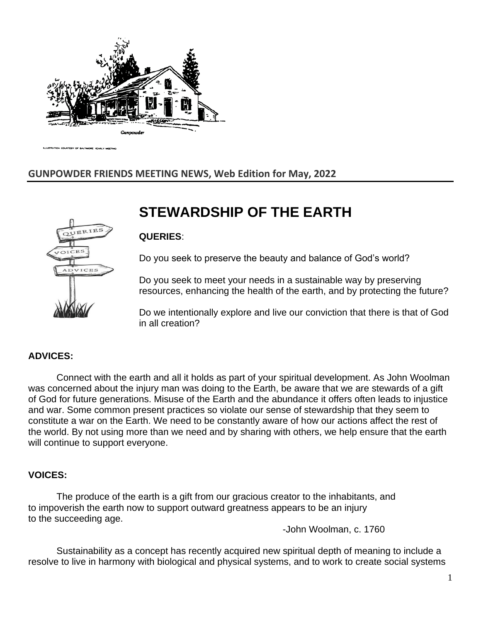

COURTESY OF BALTIMORE YEARLY

## **GUNPOWDER FRIENDS MEETING NEWS, Web Edition for May, 2022**

# **STEWARDSHIP OF THE EARTH**



Do you seek to preserve the beauty and balance of God's world?

Do you seek to meet your needs in a sustainable way by preserving resources, enhancing the health of the earth, and by protecting the future?

Do we intentionally explore and live our conviction that there is that of God in all creation?

#### **ADVICES:**

Connect with the earth and all it holds as part of your spiritual development. As John Woolman was concerned about the injury man was doing to the Earth, be aware that we are stewards of a gift of God for future generations. Misuse of the Earth and the abundance it offers often leads to injustice and war. Some common present practices so violate our sense of stewardship that they seem to constitute a war on the Earth. We need to be constantly aware of how our actions affect the rest of the world. By not using more than we need and by sharing with others, we help ensure that the earth will continue to support everyone.

#### **VOICES:**

The produce of the earth is a gift from our gracious creator to the inhabitants, and to impoverish the earth now to support outward greatness appears to be an injury to the succeeding age.

-John Woolman, c. 1760

Sustainability as a concept has recently acquired new spiritual depth of meaning to include a resolve to live in harmony with biological and physical systems, and to work to create social systems

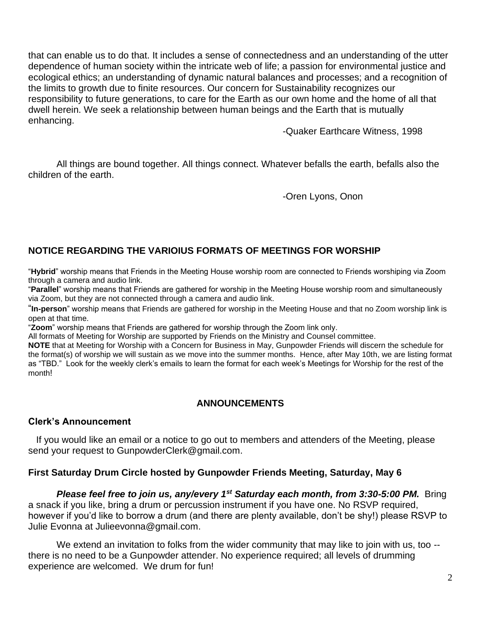that can enable us to do that. It includes a sense of connectedness and an understanding of the utter dependence of human society within the intricate web of life; a passion for environmental justice and ecological ethics; an understanding of dynamic natural balances and processes; and a recognition of the limits to growth due to finite resources. Our concern for Sustainability recognizes our responsibility to future generations, to care for the Earth as our own home and the home of all that dwell herein. We seek a relationship between human beings and the Earth that is mutually enhancing.

-Quaker Earthcare Witness, 1998

All things are bound together. All things connect. Whatever befalls the earth, befalls also the children of the earth.

-Oren Lyons, Onon

## **NOTICE REGARDING THE VARIOIUS FORMATS OF MEETINGS FOR WORSHIP**

"**Hybrid**" worship means that Friends in the Meeting House worship room are connected to Friends worshiping via Zoom through a camera and audio link.

"**Parallel**" worship means that Friends are gathered for worship in the Meeting House worship room and simultaneously via Zoom, but they are not connected through a camera and audio link.

"**In-person**" worship means that Friends are gathered for worship in the Meeting House and that no Zoom worship link is open at that time.

"**Zoom**" worship means that Friends are gathered for worship through the Zoom link only.

All formats of Meeting for Worship are supported by Friends on the Ministry and Counsel committee.

**NOTE** that at Meeting for Worship with a Concern for Business in May, Gunpowder Friends will discern the schedule for the format(s) of worship we will sustain as we move into the summer months. Hence, after May 10th, we are listing format as "TBD." Look for the weekly clerk's emails to learn the format for each week's Meetings for Worship for the rest of the month!

## **ANNOUNCEMENTS**

#### **Clerk's Announcement**

 If you would like an email or a notice to go out to members and attenders of the Meeting, please send your request to [GunpowderClerk@gmail.com.](mailto:GunpowderClerk@gmail.com)

## **First Saturday Drum Circle hosted by Gunpowder Friends Meeting, Saturday, May 6**

*Please feel free to join us, any/every 1st Saturday each month, from 3:30-5:00 PM.* Bring a snack if you like, bring a drum or percussion instrument if you have one. No RSVP required, however if you'd like to borrow a drum (and there are plenty available, don't be shy!) please RSVP to Julie Evonna at [Julieevonna@gmail.com.](mailto:Julieevonna@gmail.com)

We extend an invitation to folks from the wider community that may like to join with us, too -there is no need to be a Gunpowder attender. No experience required; all levels of drumming experience are welcomed. We drum for fun!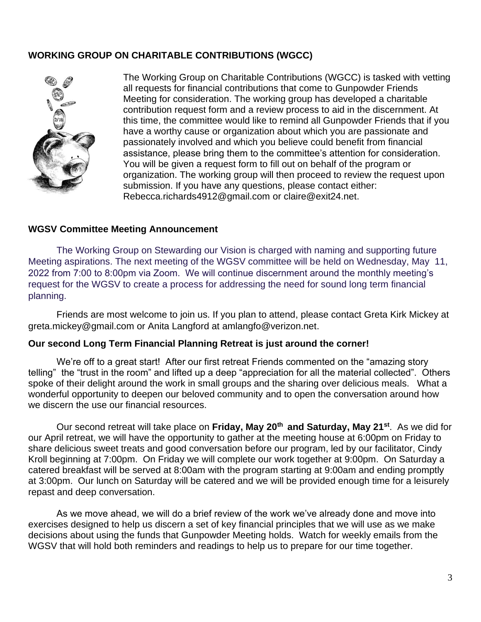## **WORKING GROUP ON CHARITABLE CONTRIBUTIONS (WGCC)**



The Working Group on Charitable Contributions (WGCC) is tasked with vetting all requests for financial contributions that come to Gunpowder Friends Meeting for consideration. The working group has developed a charitable contribution request form and a review process to aid in the discernment. At this time, the committee would like to remind all Gunpowder Friends that if you have a worthy cause or organization about which you are passionate and passionately involved and which you believe could benefit from financial assistance, please bring them to the committee's attention for consideration. You will be given a request form to fill out on behalf of the program or organization. The working group will then proceed to review the request upon submission. If you have any questions, please contact either: [Rebecca.richards4912@gmail.com](mailto:Rebecca.richards4912@gmail.com) or [claire@exit24.net.](mailto:claire@exit24.net)

#### **WGSV Committee Meeting Announcement**

The Working Group on Stewarding our Vision is charged with naming and supporting future Meeting aspirations. The next meeting of the WGSV committee will be held on Wednesday, May 11, 2022 from 7:00 to 8:00pm via Zoom. We will continue discernment around the monthly meeting's request for the WGSV to create a process for addressing the need for sound long term financial planning.

Friends are most welcome to join us. If you plan to attend, please contact Greta Kirk Mickey at [greta.mickey@gmail.com](mailto:greta.mickey@gmail.com) or Anita Langford at [amlangfo@verizon.net.](mailto:amlangfo@verizon.net)

#### **Our second Long Term Financial Planning Retreat is just around the corner!**

We're off to a great start! After our first retreat Friends commented on the "amazing story telling" the "trust in the room" and lifted up a deep "appreciation for all the material collected". Others spoke of their delight around the work in small groups and the sharing over delicious meals. What a wonderful opportunity to deepen our beloved community and to open the conversation around how we discern the use our financial resources.

Our second retreat will take place on **Friday, May 20th and Saturday, May 21st**. As we did for our April retreat, we will have the opportunity to gather at the meeting house at 6:00pm on Friday to share delicious sweet treats and good conversation before our program, led by our facilitator, Cindy Kroll beginning at 7:00pm. On Friday we will complete our work together at 9:00pm. On Saturday a catered breakfast will be served at 8:00am with the program starting at 9:00am and ending promptly at 3:00pm. Our lunch on Saturday will be catered and we will be provided enough time for a leisurely repast and deep conversation.

As we move ahead, we will do a brief review of the work we've already done and move into exercises designed to help us discern a set of key financial principles that we will use as we make decisions about using the funds that Gunpowder Meeting holds. Watch for weekly emails from the WGSV that will hold both reminders and readings to help us to prepare for our time together.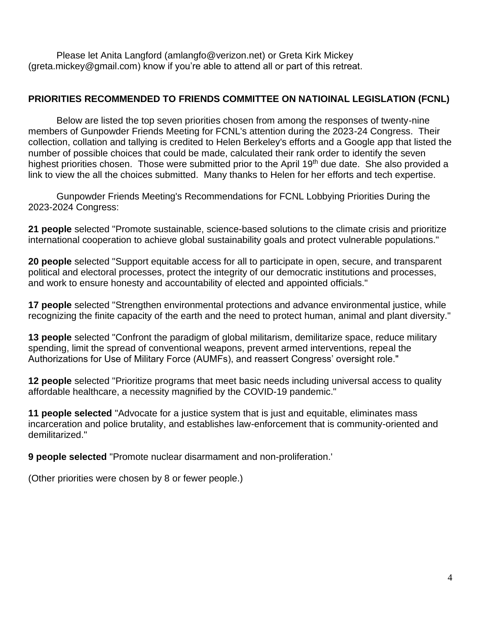Please let Anita Langford [\(amlangfo@verizon.net\)](mailto:amlangfo@verizon.net) or Greta Kirk Mickey [\(greta.mickey@gmail.com\)](mailto:greta.mickey@gmail.com) know if you're able to attend all or part of this retreat.

## **PRIORITIES RECOMMENDED TO FRIENDS COMMITTEE ON NATIOINAL LEGISLATION (FCNL)**

Below are listed the top seven priorities chosen from among the responses of twenty-nine members of Gunpowder Friends Meeting for FCNL's attention during the 2023-24 Congress. Their collection, collation and tallying is credited to Helen Berkeley's efforts and a Google app that listed the number of possible choices that could be made, calculated their rank order to identify the seven highest priorities chosen. Those were submitted prior to the April 19<sup>th</sup> due date. She also provided a link to view the all the choices submitted. Many thanks to Helen for her efforts and tech expertise.

Gunpowder Friends Meeting's Recommendations for FCNL Lobbying Priorities During the 2023-2024 Congress:

**21 people** selected "Promote sustainable, science-based solutions to the climate crisis and prioritize international cooperation to achieve global sustainability goals and protect vulnerable populations."

**20 people** selected "Support equitable access for all to participate in open, secure, and transparent political and electoral processes, protect the integrity of our democratic institutions and processes, and work to ensure honesty and accountability of elected and appointed officials."

**17 people** selected "Strengthen environmental protections and advance environmental justice, while recognizing the finite capacity of the earth and the need to protect human, animal and plant diversity."

**13 people** selected "Confront the paradigm of global militarism, demilitarize space, reduce military spending, limit the spread of conventional weapons, prevent armed interventions, repeal the Authorizations for Use of Military Force (AUMFs), and reassert Congress' oversight role."

**12 people** selected "Prioritize programs that meet basic needs including universal access to quality affordable healthcare, a necessity magnified by the COVID-19 pandemic."

**11 people selected** "Advocate for a justice system that is just and equitable, eliminates mass incarceration and police brutality, and establishes law-enforcement that is community-oriented and demilitarized."

**9 people selected** "Promote nuclear disarmament and non-proliferation.'

(Other priorities were chosen by 8 or fewer people.)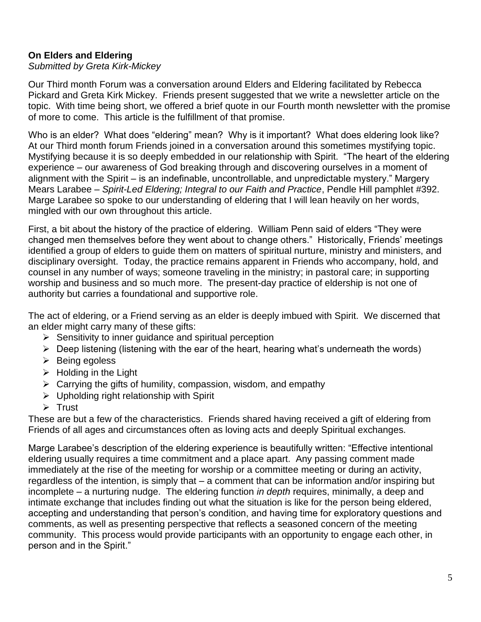## **On Elders and Eldering**

#### *Submitted by Greta Kirk-Mickey*

Our Third month Forum was a conversation around Elders and Eldering facilitated by Rebecca Pickard and Greta Kirk Mickey. Friends present suggested that we write a newsletter article on the topic. With time being short, we offered a brief quote in our Fourth month newsletter with the promise of more to come. This article is the fulfillment of that promise.

Who is an elder? What does "eldering" mean? Why is it important? What does eldering look like? At our Third month forum Friends joined in a conversation around this sometimes mystifying topic. Mystifying because it is so deeply embedded in our relationship with Spirit. "The heart of the eldering experience – our awareness of God breaking through and discovering ourselves in a moment of alignment with the Spirit – is an indefinable, uncontrollable, and unpredictable mystery." Margery Mears Larabee – *Spirit-Led Eldering; Integral to our Faith and Practice*, Pendle Hill pamphlet #392. Marge Larabee so spoke to our understanding of eldering that I will lean heavily on her words, mingled with our own throughout this article.

First, a bit about the history of the practice of eldering. William Penn said of elders "They were changed men themselves before they went about to change others." Historically, Friends' meetings identified a group of elders to guide them on matters of spiritual nurture, ministry and ministers, and disciplinary oversight. Today, the practice remains apparent in Friends who accompany, hold, and counsel in any number of ways; someone traveling in the ministry; in pastoral care; in supporting worship and business and so much more. The present-day practice of eldership is not one of authority but carries a foundational and supportive role.

The act of eldering, or a Friend serving as an elder is deeply imbued with Spirit. We discerned that an elder might carry many of these gifts:

- $\triangleright$  Sensitivity to inner quidance and spiritual perception
- $\triangleright$  Deep listening (listening with the ear of the heart, hearing what's underneath the words)
- ➢ Being egoless
- $\triangleright$  Holding in the Light
- $\triangleright$  Carrying the gifts of humility, compassion, wisdom, and empathy
- ➢ Upholding right relationship with Spirit
- ➢ Trust

These are but a few of the characteristics. Friends shared having received a gift of eldering from Friends of all ages and circumstances often as loving acts and deeply Spiritual exchanges.

Marge Larabee's description of the eldering experience is beautifully written: "Effective intentional eldering usually requires a time commitment and a place apart. Any passing comment made immediately at the rise of the meeting for worship or a committee meeting or during an activity, regardless of the intention, is simply that – a comment that can be information and/or inspiring but incomplete – a nurturing nudge. The eldering function *in depth* requires, minimally, a deep and intimate exchange that includes finding out what the situation is like for the person being eldered, accepting and understanding that person's condition, and having time for exploratory questions and comments, as well as presenting perspective that reflects a seasoned concern of the meeting community. This process would provide participants with an opportunity to engage each other, in person and in the Spirit."